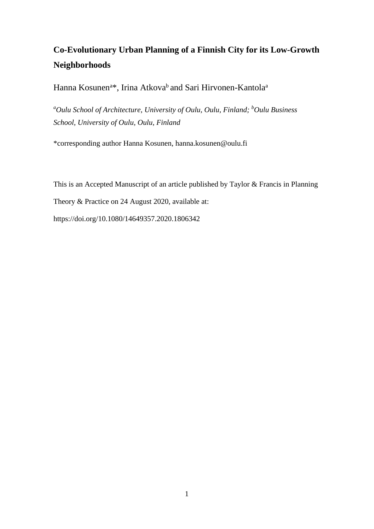# **Co-Evolutionary Urban Planning of a Finnish City for its Low-Growth Neighborhoods**

Hanna Kosunen<sup>a</sup>\*, Irina Atkova<sup>b</sup> and Sari Hirvonen-Kantola<sup>a</sup>

*<sup>a</sup>Oulu School of Architecture, University of Oulu, Oulu, Finland; <sup>b</sup>Oulu Business School, University of Oulu, Oulu, Finland*

\*corresponding author Hanna Kosunen, hanna.kosunen@oulu.fi

This is an Accepted Manuscript of an article published by Taylor & Francis in Planning Theory & Practice on 24 August 2020, available at: https://doi.org/10.1080/14649357.2020.1806342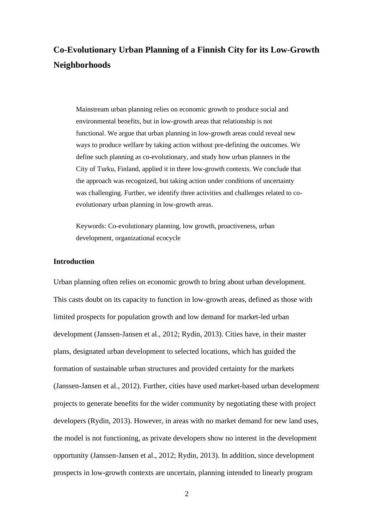# **Co-Evolutionary Urban Planning of a Finnish City for its Low-Growth Neighborhoods**

Mainstream urban planning relies on economic growth to produce social and environmental benefits, but in low-growth areas that relationship is not functional. We argue that urban planning in low-growth areas could reveal new ways to produce welfare by taking action without pre-defining the outcomes. We define such planning as co-evolutionary, and study how urban planners in the City of Turku, Finland, applied it in three low-growth contexts. We conclude that the approach was recognized, but taking action under conditions of uncertainty was challenging. Further, we identify three activities and challenges related to coevolutionary urban planning in low-growth areas.

Keywords: Co-evolutionary planning, low growth, proactiveness, urban development, organizational ecocycle

# **Introduction**

Urban planning often relies on economic growth to bring about urban development. This casts doubt on its capacity to function in low-growth areas, defined as those with limited prospects for population growth and low demand for market-led urban development (Janssen-Jansen et al., 2012; Rydin, 2013). Cities have, in their master plans, designated urban development to selected locations, which has guided the formation of sustainable urban structures and provided certainty for the markets (Janssen-Jansen et al., 2012). Further, cities have used market-based urban development projects to generate benefits for the wider community by negotiating these with project developers (Rydin, 2013). However, in areas with no market demand for new land uses, the model is not functioning, as private developers show no interest in the development opportunity (Janssen-Jansen et al., 2012; Rydin, 2013). In addition, since development prospects in low-growth contexts are uncertain, planning intended to linearly program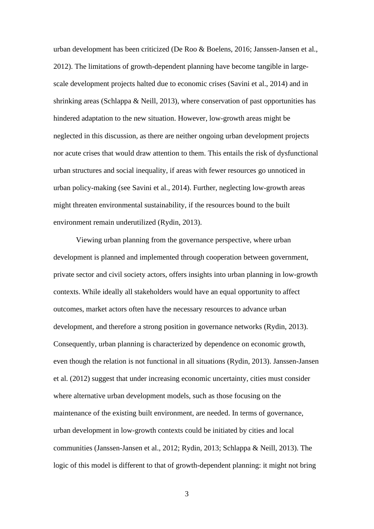urban development has been criticized (De Roo & Boelens, 2016; Janssen-Jansen et al., 2012). The limitations of growth-dependent planning have become tangible in largescale development projects halted due to economic crises (Savini et al., 2014) and in shrinking areas (Schlappa & Neill, 2013), where conservation of past opportunities has hindered adaptation to the new situation. However, low-growth areas might be neglected in this discussion, as there are neither ongoing urban development projects nor acute crises that would draw attention to them. This entails the risk of dysfunctional urban structures and social inequality, if areas with fewer resources go unnoticed in urban policy-making (see Savini et al., 2014). Further, neglecting low-growth areas might threaten environmental sustainability, if the resources bound to the built environment remain underutilized (Rydin, 2013).

Viewing urban planning from the governance perspective, where urban development is planned and implemented through cooperation between government, private sector and civil society actors, offers insights into urban planning in low-growth contexts. While ideally all stakeholders would have an equal opportunity to affect outcomes, market actors often have the necessary resources to advance urban development, and therefore a strong position in governance networks (Rydin, 2013). Consequently, urban planning is characterized by dependence on economic growth, even though the relation is not functional in all situations (Rydin, 2013). Janssen-Jansen et al. (2012) suggest that under increasing economic uncertainty, cities must consider where alternative urban development models, such as those focusing on the maintenance of the existing built environment, are needed. In terms of governance, urban development in low-growth contexts could be initiated by cities and local communities (Janssen-Jansen et al., 2012; Rydin, 2013; Schlappa & Neill, 2013). The logic of this model is different to that of growth-dependent planning: it might not bring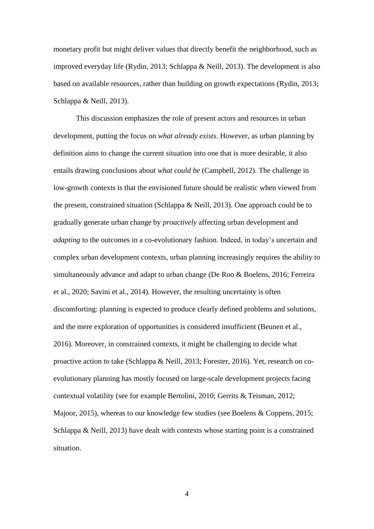monetary profit but might deliver values that directly benefit the neighborhood, such as improved everyday life (Rydin, 2013; Schlappa & Neill, 2013). The development is also based on available resources, rather than building on growth expectations (Rydin, 2013; Schlappa & Neill, 2013).

This discussion emphasizes the role of present actors and resources in urban development, putting the focus on *what already exists*. However, as urban planning by definition aims to change the current situation into one that is more desirable, it also entails drawing conclusions about *what could be* (Campbell, 2012). The challenge in low-growth contexts is that the envisioned future should be realistic when viewed from the present, constrained situation (Schlappa & Neill, 2013). One approach could be to gradually generate urban change by *proactively* affecting urban development and *adapting* to the outcomes in a co-evolutionary fashion. Indeed, in today's uncertain and complex urban development contexts, urban planning increasingly requires the ability to simultaneously advance and adapt to urban change (De Roo & Boelens, 2016; Ferreira et al., 2020; Savini et al., 2014). However, the resulting uncertainty is often discomforting: planning is expected to produce clearly defined problems and solutions, and the mere exploration of opportunities is considered insufficient (Beunen et al., 2016). Moreover, in constrained contexts, it might be challenging to decide what proactive action to take (Schlappa & Neill, 2013; Forester, 2016). Yet, research on coevolutionary planning has mostly focused on large-scale development projects facing contextual volatility (see for example Bertolini, 2010; Gerrits & Teisman, 2012; Majoor, 2015), whereas to our knowledge few studies (see Boelens & Coppens, 2015; Schlappa & Neill, 2013) have dealt with contexts whose starting point is a constrained situation.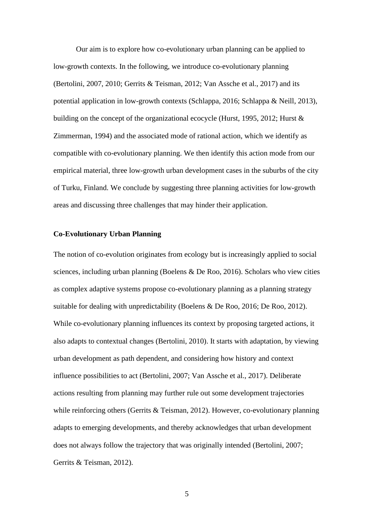Our aim is to explore how co-evolutionary urban planning can be applied to low-growth contexts. In the following, we introduce co-evolutionary planning (Bertolini, 2007, 2010; Gerrits & Teisman, 2012; Van Assche et al., 2017) and its potential application in low-growth contexts (Schlappa, 2016; Schlappa & Neill, 2013), building on the concept of the organizational ecocycle (Hurst, 1995, 2012; Hurst & Zimmerman, 1994) and the associated mode of rational action, which we identify as compatible with co-evolutionary planning. We then identify this action mode from our empirical material, three low-growth urban development cases in the suburbs of the city of Turku, Finland. We conclude by suggesting three planning activities for low-growth areas and discussing three challenges that may hinder their application.

### **Co-Evolutionary Urban Planning**

The notion of co-evolution originates from ecology but is increasingly applied to social sciences, including urban planning (Boelens & De Roo, 2016). Scholars who view cities as complex adaptive systems propose co-evolutionary planning as a planning strategy suitable for dealing with unpredictability (Boelens & De Roo, 2016; De Roo, 2012). While co-evolutionary planning influences its context by proposing targeted actions, it also adapts to contextual changes (Bertolini, 2010). It starts with adaptation, by viewing urban development as path dependent, and considering how history and context influence possibilities to act (Bertolini, 2007; Van Assche et al., 2017). Deliberate actions resulting from planning may further rule out some development trajectories while reinforcing others (Gerrits & Teisman, 2012). However, co-evolutionary planning adapts to emerging developments, and thereby acknowledges that urban development does not always follow the trajectory that was originally intended (Bertolini, 2007; Gerrits & Teisman, 2012).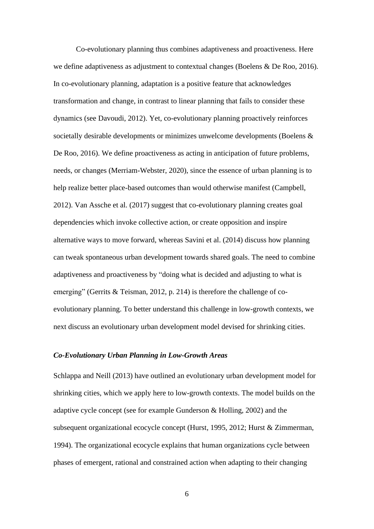Co-evolutionary planning thus combines adaptiveness and proactiveness. Here we define adaptiveness as adjustment to contextual changes (Boelens & De Roo, 2016). In co-evolutionary planning, adaptation is a positive feature that acknowledges transformation and change, in contrast to linear planning that fails to consider these dynamics (see Davoudi, 2012). Yet, co-evolutionary planning proactively reinforces societally desirable developments or minimizes unwelcome developments (Boelens & De Roo, 2016). We define proactiveness as acting in anticipation of future problems, needs, or changes (Merriam-Webster, 2020), since the essence of urban planning is to help realize better place-based outcomes than would otherwise manifest (Campbell, 2012). Van Assche et al. (2017) suggest that co-evolutionary planning creates goal dependencies which invoke collective action, or create opposition and inspire alternative ways to move forward, whereas Savini et al. (2014) discuss how planning can tweak spontaneous urban development towards shared goals. The need to combine adaptiveness and proactiveness by "doing what is decided and adjusting to what is emerging" (Gerrits & Teisman, 2012, p. 214) is therefore the challenge of coevolutionary planning. To better understand this challenge in low-growth contexts, we next discuss an evolutionary urban development model devised for shrinking cities.

# *Co-Evolutionary Urban Planning in Low-Growth Areas*

Schlappa and Neill (2013) have outlined an evolutionary urban development model for shrinking cities, which we apply here to low-growth contexts. The model builds on the adaptive cycle concept (see for example Gunderson & Holling, 2002) and the subsequent organizational ecocycle concept (Hurst, 1995, 2012; Hurst & Zimmerman, 1994). The organizational ecocycle explains that human organizations cycle between phases of emergent, rational and constrained action when adapting to their changing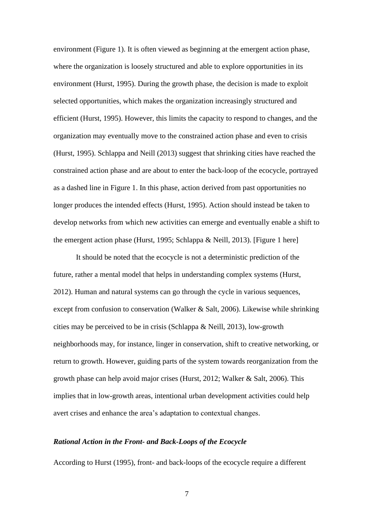environment (Figure 1). It is often viewed as beginning at the emergent action phase, where the organization is loosely structured and able to explore opportunities in its environment (Hurst, 1995). During the growth phase, the decision is made to exploit selected opportunities, which makes the organization increasingly structured and efficient (Hurst, 1995). However, this limits the capacity to respond to changes, and the organization may eventually move to the constrained action phase and even to crisis (Hurst, 1995). Schlappa and Neill (2013) suggest that shrinking cities have reached the constrained action phase and are about to enter the back-loop of the ecocycle, portrayed as a dashed line in Figure 1. In this phase, action derived from past opportunities no longer produces the intended effects (Hurst, 1995). Action should instead be taken to develop networks from which new activities can emerge and eventually enable a shift to the emergent action phase (Hurst, 1995; Schlappa & Neill, 2013). [Figure 1 here]

It should be noted that the ecocycle is not a deterministic prediction of the future, rather a mental model that helps in understanding complex systems (Hurst, 2012). Human and natural systems can go through the cycle in various sequences, except from confusion to conservation (Walker & Salt, 2006). Likewise while shrinking cities may be perceived to be in crisis (Schlappa & Neill, 2013), low-growth neighborhoods may, for instance, linger in conservation, shift to creative networking, or return to growth. However, guiding parts of the system towards reorganization from the growth phase can help avoid major crises (Hurst, 2012; Walker & Salt, 2006). This implies that in low-growth areas, intentional urban development activities could help avert crises and enhance the area's adaptation to contextual changes.

## *Rational Action in the Front- and Back-Loops of the Ecocycle*

According to Hurst (1995), front- and back-loops of the ecocycle require a different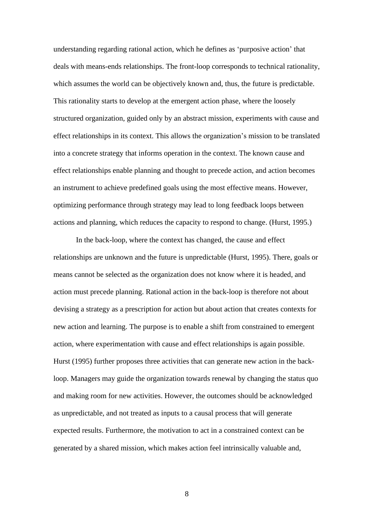understanding regarding rational action, which he defines as 'purposive action' that deals with means-ends relationships. The front-loop corresponds to technical rationality, which assumes the world can be objectively known and, thus, the future is predictable. This rationality starts to develop at the emergent action phase, where the loosely structured organization, guided only by an abstract mission, experiments with cause and effect relationships in its context. This allows the organization's mission to be translated into a concrete strategy that informs operation in the context. The known cause and effect relationships enable planning and thought to precede action, and action becomes an instrument to achieve predefined goals using the most effective means. However, optimizing performance through strategy may lead to long feedback loops between actions and planning, which reduces the capacity to respond to change. (Hurst, 1995.)

In the back-loop, where the context has changed, the cause and effect relationships are unknown and the future is unpredictable (Hurst, 1995). There, goals or means cannot be selected as the organization does not know where it is headed, and action must precede planning. Rational action in the back-loop is therefore not about devising a strategy as a prescription for action but about action that creates contexts for new action and learning. The purpose is to enable a shift from constrained to emergent action, where experimentation with cause and effect relationships is again possible. Hurst (1995) further proposes three activities that can generate new action in the backloop. Managers may guide the organization towards renewal by changing the status quo and making room for new activities. However, the outcomes should be acknowledged as unpredictable, and not treated as inputs to a causal process that will generate expected results. Furthermore, the motivation to act in a constrained context can be generated by a shared mission, which makes action feel intrinsically valuable and,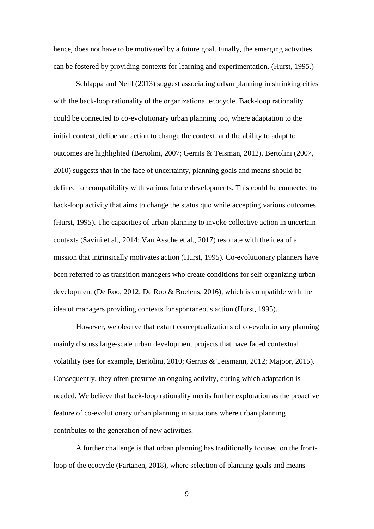hence, does not have to be motivated by a future goal. Finally, the emerging activities can be fostered by providing contexts for learning and experimentation. (Hurst, 1995.)

Schlappa and Neill (2013) suggest associating urban planning in shrinking cities with the back-loop rationality of the organizational ecocycle. Back-loop rationality could be connected to co-evolutionary urban planning too, where adaptation to the initial context, deliberate action to change the context, and the ability to adapt to outcomes are highlighted (Bertolini, 2007; Gerrits & Teisman, 2012). Bertolini (2007, 2010) suggests that in the face of uncertainty, planning goals and means should be defined for compatibility with various future developments. This could be connected to back-loop activity that aims to change the status quo while accepting various outcomes (Hurst, 1995). The capacities of urban planning to invoke collective action in uncertain contexts (Savini et al., 2014; Van Assche et al., 2017) resonate with the idea of a mission that intrinsically motivates action (Hurst, 1995). Co-evolutionary planners have been referred to as transition managers who create conditions for self-organizing urban development (De Roo, 2012; De Roo & Boelens, 2016), which is compatible with the idea of managers providing contexts for spontaneous action (Hurst, 1995).

However, we observe that extant conceptualizations of co-evolutionary planning mainly discuss large-scale urban development projects that have faced contextual volatility (see for example, Bertolini, 2010; Gerrits & Teismann, 2012; Majoor, 2015). Consequently, they often presume an ongoing activity, during which adaptation is needed. We believe that back-loop rationality merits further exploration as the proactive feature of co-evolutionary urban planning in situations where urban planning contributes to the generation of new activities.

A further challenge is that urban planning has traditionally focused on the frontloop of the ecocycle (Partanen, 2018), where selection of planning goals and means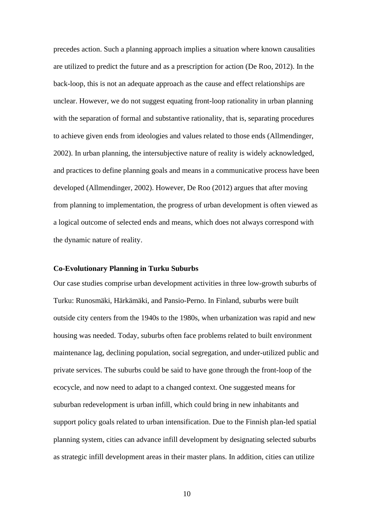precedes action. Such a planning approach implies a situation where known causalities are utilized to predict the future and as a prescription for action (De Roo, 2012). In the back-loop, this is not an adequate approach as the cause and effect relationships are unclear. However, we do not suggest equating front-loop rationality in urban planning with the separation of formal and substantive rationality, that is, separating procedures to achieve given ends from ideologies and values related to those ends (Allmendinger, 2002). In urban planning, the intersubjective nature of reality is widely acknowledged, and practices to define planning goals and means in a communicative process have been developed (Allmendinger, 2002). However, De Roo (2012) argues that after moving from planning to implementation, the progress of urban development is often viewed as a logical outcome of selected ends and means, which does not always correspond with the dynamic nature of reality.

#### **Co-Evolutionary Planning in Turku Suburbs**

Our case studies comprise urban development activities in three low-growth suburbs of Turku: Runosmäki, Härkämäki, and Pansio-Perno. In Finland, suburbs were built outside city centers from the 1940s to the 1980s, when urbanization was rapid and new housing was needed. Today, suburbs often face problems related to built environment maintenance lag, declining population, social segregation, and under-utilized public and private services. The suburbs could be said to have gone through the front-loop of the ecocycle, and now need to adapt to a changed context. One suggested means for suburban redevelopment is urban infill, which could bring in new inhabitants and support policy goals related to urban intensification. Due to the Finnish plan-led spatial planning system, cities can advance infill development by designating selected suburbs as strategic infill development areas in their master plans. In addition, cities can utilize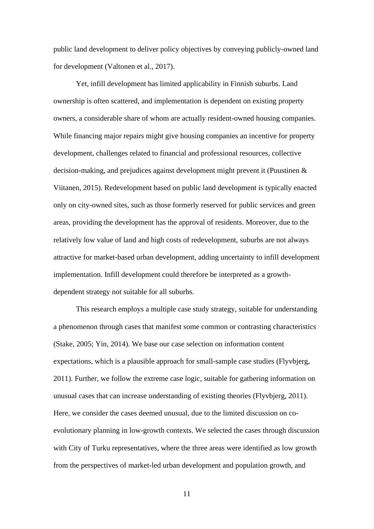public land development to deliver policy objectives by conveying publicly-owned land for development (Valtonen et al., 2017).

Yet, infill development has limited applicability in Finnish suburbs. Land ownership is often scattered, and implementation is dependent on existing property owners, a considerable share of whom are actually resident-owned housing companies. While financing major repairs might give housing companies an incentive for property development, challenges related to financial and professional resources, collective decision-making, and prejudices against development might prevent it (Puustinen & Viitanen, 2015). Redevelopment based on public land development is typically enacted only on city-owned sites, such as those formerly reserved for public services and green areas, providing the development has the approval of residents. Moreover, due to the relatively low value of land and high costs of redevelopment, suburbs are not always attractive for market-based urban development, adding uncertainty to infill development implementation. Infill development could therefore be interpreted as a growthdependent strategy not suitable for all suburbs.

This research employs a multiple case study strategy, suitable for understanding a phenomenon through cases that manifest some common or contrasting characteristics (Stake, 2005; Yin, 2014). We base our case selection on information content expectations, which is a plausible approach for small-sample case studies (Flyvbjerg, 2011). Further, we follow the extreme case logic, suitable for gathering information on unusual cases that can increase understanding of existing theories (Flyvbjerg, 2011). Here, we consider the cases deemed unusual, due to the limited discussion on coevolutionary planning in low-growth contexts. We selected the cases through discussion with City of Turku representatives, where the three areas were identified as low growth from the perspectives of market-led urban development and population growth, and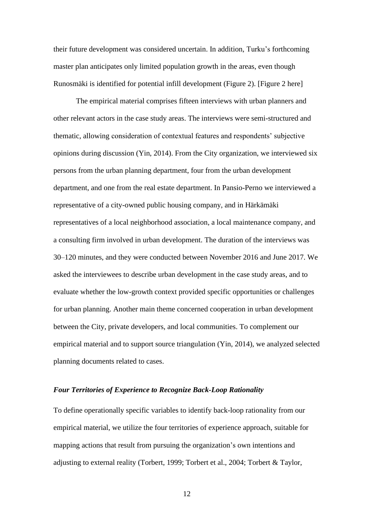their future development was considered uncertain. In addition, Turku's forthcoming master plan anticipates only limited population growth in the areas, even though Runosmäki is identified for potential infill development (Figure 2). [Figure 2 here]

The empirical material comprises fifteen interviews with urban planners and other relevant actors in the case study areas. The interviews were semi-structured and thematic, allowing consideration of contextual features and respondents' subjective opinions during discussion (Yin, 2014). From the City organization, we interviewed six persons from the urban planning department, four from the urban development department, and one from the real estate department. In Pansio-Perno we interviewed a representative of a city-owned public housing company, and in Härkämäki representatives of a local neighborhood association, a local maintenance company, and a consulting firm involved in urban development. The duration of the interviews was 30–120 minutes, and they were conducted between November 2016 and June 2017. We asked the interviewees to describe urban development in the case study areas, and to evaluate whether the low-growth context provided specific opportunities or challenges for urban planning. Another main theme concerned cooperation in urban development between the City, private developers, and local communities. To complement our empirical material and to support source triangulation (Yin, 2014), we analyzed selected planning documents related to cases.

# *Four Territories of Experience to Recognize Back-Loop Rationality*

To define operationally specific variables to identify back-loop rationality from our empirical material, we utilize the four territories of experience approach, suitable for mapping actions that result from pursuing the organization's own intentions and adjusting to external reality (Torbert, 1999; Torbert et al., 2004; Torbert & Taylor,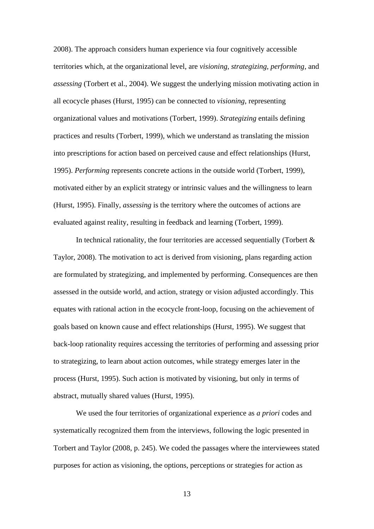2008). The approach considers human experience via four cognitively accessible territories which, at the organizational level, are *visioning, strategizing, performing,* and *assessing* (Torbert et al., 2004). We suggest the underlying mission motivating action in all ecocycle phases (Hurst, 1995) can be connected to *visioning*, representing organizational values and motivations (Torbert, 1999). *Strategizing* entails defining practices and results (Torbert, 1999), which we understand as translating the mission into prescriptions for action based on perceived cause and effect relationships (Hurst, 1995). *Performing* represents concrete actions in the outside world (Torbert, 1999), motivated either by an explicit strategy or intrinsic values and the willingness to learn (Hurst, 1995). Finally, *assessing* is the territory where the outcomes of actions are evaluated against reality, resulting in feedback and learning (Torbert, 1999).

In technical rationality, the four territories are accessed sequentially (Torbert  $\&$ Taylor, 2008). The motivation to act is derived from visioning, plans regarding action are formulated by strategizing, and implemented by performing. Consequences are then assessed in the outside world, and action, strategy or vision adjusted accordingly. This equates with rational action in the ecocycle front-loop, focusing on the achievement of goals based on known cause and effect relationships (Hurst, 1995). We suggest that back-loop rationality requires accessing the territories of performing and assessing prior to strategizing, to learn about action outcomes, while strategy emerges later in the process (Hurst, 1995). Such action is motivated by visioning, but only in terms of abstract, mutually shared values (Hurst, 1995).

We used the four territories of organizational experience as *a priori* codes and systematically recognized them from the interviews, following the logic presented in Torbert and Taylor (2008, p. 245). We coded the passages where the interviewees stated purposes for action as visioning, the options, perceptions or strategies for action as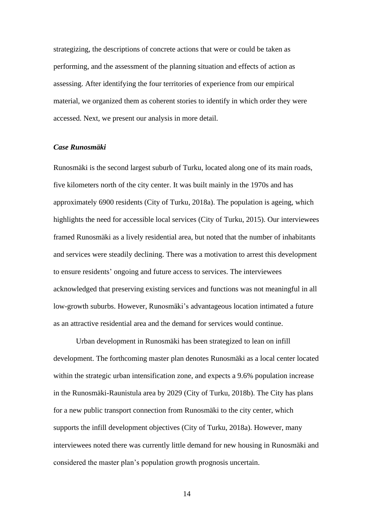strategizing, the descriptions of concrete actions that were or could be taken as performing, and the assessment of the planning situation and effects of action as assessing. After identifying the four territories of experience from our empirical material, we organized them as coherent stories to identify in which order they were accessed. Next, we present our analysis in more detail.

# *Case Runosmäki*

Runosmäki is the second largest suburb of Turku, located along one of its main roads, five kilometers north of the city center. It was built mainly in the 1970s and has approximately 6900 residents (City of Turku, 2018a). The population is ageing, which highlights the need for accessible local services (City of Turku, 2015). Our interviewees framed Runosmäki as a lively residential area, but noted that the number of inhabitants and services were steadily declining. There was a motivation to arrest this development to ensure residents' ongoing and future access to services. The interviewees acknowledged that preserving existing services and functions was not meaningful in all low-growth suburbs. However, Runosmäki's advantageous location intimated a future as an attractive residential area and the demand for services would continue.

Urban development in Runosmäki has been strategized to lean on infill development. The forthcoming master plan denotes Runosmäki as a local center located within the strategic urban intensification zone, and expects a 9.6% population increase in the Runosmäki-Raunistula area by 2029 (City of Turku, 2018b). The City has plans for a new public transport connection from Runosmäki to the city center, which supports the infill development objectives (City of Turku, 2018a). However, many interviewees noted there was currently little demand for new housing in Runosmäki and considered the master plan's population growth prognosis uncertain.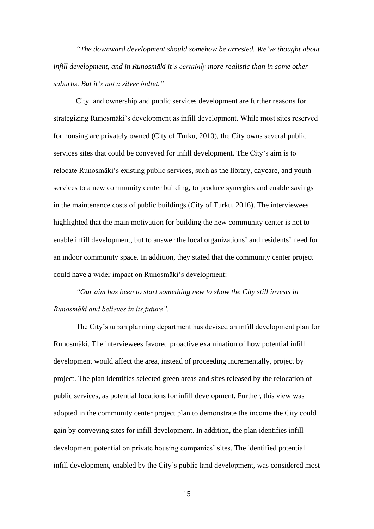*"The downward development should somehow be arrested. We've thought about infill development, and in Runosmäki it's certainly more realistic than in some other suburbs. But it's not a silver bullet."*

City land ownership and public services development are further reasons for strategizing Runosmäki's development as infill development. While most sites reserved for housing are privately owned (City of Turku, 2010), the City owns several public services sites that could be conveyed for infill development. The City's aim is to relocate Runosmäki's existing public services, such as the library, daycare, and youth services to a new community center building, to produce synergies and enable savings in the maintenance costs of public buildings (City of Turku, 2016). The interviewees highlighted that the main motivation for building the new community center is not to enable infill development, but to answer the local organizations' and residents' need for an indoor community space. In addition, they stated that the community center project could have a wider impact on Runosmäki's development:

*"Our aim has been to start something new to show the City still invests in Runosmäki and believes in its future".*

The City's urban planning department has devised an infill development plan for Runosmäki. The interviewees favored proactive examination of how potential infill development would affect the area, instead of proceeding incrementally, project by project. The plan identifies selected green areas and sites released by the relocation of public services, as potential locations for infill development. Further, this view was adopted in the community center project plan to demonstrate the income the City could gain by conveying sites for infill development. In addition, the plan identifies infill development potential on private housing companies' sites. The identified potential infill development, enabled by the City's public land development, was considered most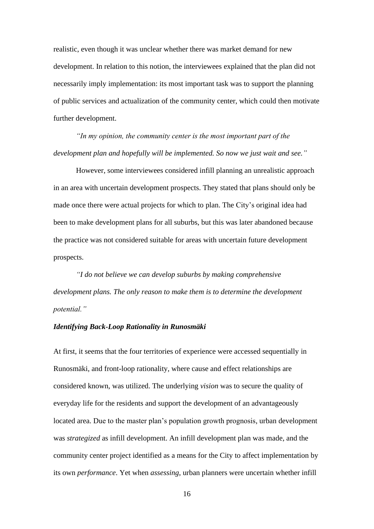realistic, even though it was unclear whether there was market demand for new development. In relation to this notion, the interviewees explained that the plan did not necessarily imply implementation: its most important task was to support the planning of public services and actualization of the community center, which could then motivate further development.

*"In my opinion, the community center is the most important part of the development plan and hopefully will be implemented. So now we just wait and see."*

However, some interviewees considered infill planning an unrealistic approach in an area with uncertain development prospects. They stated that plans should only be made once there were actual projects for which to plan. The City's original idea had been to make development plans for all suburbs, but this was later abandoned because the practice was not considered suitable for areas with uncertain future development prospects.

*"I do not believe we can develop suburbs by making comprehensive development plans. The only reason to make them is to determine the development potential."*

# *Identifying Back-Loop Rationality in Runosmäki*

At first, it seems that the four territories of experience were accessed sequentially in Runosmäki, and front-loop rationality, where cause and effect relationships are considered known, was utilized. The underlying *vision* was to secure the quality of everyday life for the residents and support the development of an advantageously located area. Due to the master plan's population growth prognosis, urban development was *strategized* as infill development. An infill development plan was made, and the community center project identified as a means for the City to affect implementation by its own *performance*. Yet when *assessing*, urban planners were uncertain whether infill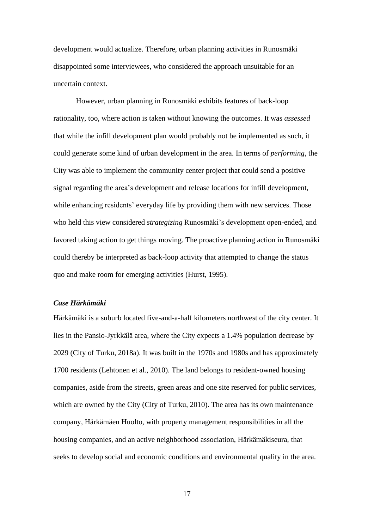development would actualize. Therefore, urban planning activities in Runosmäki disappointed some interviewees, who considered the approach unsuitable for an uncertain context.

However, urban planning in Runosmäki exhibits features of back-loop rationality, too, where action is taken without knowing the outcomes. It was *assessed* that while the infill development plan would probably not be implemented as such, it could generate some kind of urban development in the area. In terms of *performing*, the City was able to implement the community center project that could send a positive signal regarding the area's development and release locations for infill development, while enhancing residents' everyday life by providing them with new services. Those who held this view considered *strategizing* Runosmäki's development open-ended, and favored taking action to get things moving. The proactive planning action in Runosmäki could thereby be interpreted as back-loop activity that attempted to change the status quo and make room for emerging activities (Hurst, 1995).

#### *Case Härkämäki*

Härkämäki is a suburb located five-and-a-half kilometers northwest of the city center. It lies in the Pansio-Jyrkkälä area, where the City expects a 1.4% population decrease by 2029 (City of Turku, 2018a). It was built in the 1970s and 1980s and has approximately 1700 residents (Lehtonen et al., 2010). The land belongs to resident-owned housing companies, aside from the streets, green areas and one site reserved for public services, which are owned by the City (City of Turku, 2010). The area has its own maintenance company, Härkämäen Huolto, with property management responsibilities in all the housing companies, and an active neighborhood association, Härkämäkiseura, that seeks to develop social and economic conditions and environmental quality in the area.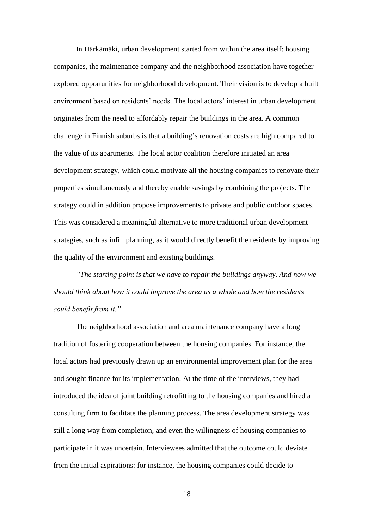In Härkämäki, urban development started from within the area itself: housing companies, the maintenance company and the neighborhood association have together explored opportunities for neighborhood development. Their vision is to develop a built environment based on residents' needs. The local actors' interest in urban development originates from the need to affordably repair the buildings in the area. A common challenge in Finnish suburbs is that a building's renovation costs are high compared to the value of its apartments. The local actor coalition therefore initiated an area development strategy, which could motivate all the housing companies to renovate their properties simultaneously and thereby enable savings by combining the projects. The strategy could in addition propose improvements to private and public outdoor spaces. This was considered a meaningful alternative to more traditional urban development strategies, such as infill planning, as it would directly benefit the residents by improving the quality of the environment and existing buildings.

*"The starting point is that we have to repair the buildings anyway. And now we should think about how it could improve the area as a whole and how the residents could benefit from it."*

The neighborhood association and area maintenance company have a long tradition of fostering cooperation between the housing companies. For instance, the local actors had previously drawn up an environmental improvement plan for the area and sought finance for its implementation. At the time of the interviews, they had introduced the idea of joint building retrofitting to the housing companies and hired a consulting firm to facilitate the planning process. The area development strategy was still a long way from completion, and even the willingness of housing companies to participate in it was uncertain. Interviewees admitted that the outcome could deviate from the initial aspirations: for instance, the housing companies could decide to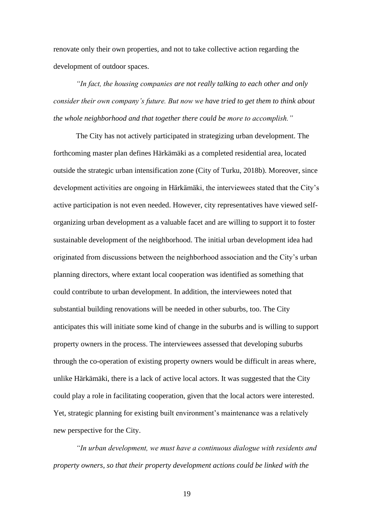renovate only their own properties, and not to take collective action regarding the development of outdoor spaces.

*"In fact, the housing companies are not really talking to each other and only consider their own company's future. But now we have tried to get them to think about the whole neighborhood and that together there could be more to accomplish."*

The City has not actively participated in strategizing urban development. The forthcoming master plan defines Härkämäki as a completed residential area, located outside the strategic urban intensification zone (City of Turku, 2018b). Moreover, since development activities are ongoing in Härkämäki, the interviewees stated that the City's active participation is not even needed. However, city representatives have viewed selforganizing urban development as a valuable facet and are willing to support it to foster sustainable development of the neighborhood. The initial urban development idea had originated from discussions between the neighborhood association and the City's urban planning directors, where extant local cooperation was identified as something that could contribute to urban development. In addition, the interviewees noted that substantial building renovations will be needed in other suburbs, too. The City anticipates this will initiate some kind of change in the suburbs and is willing to support property owners in the process. The interviewees assessed that developing suburbs through the co-operation of existing property owners would be difficult in areas where, unlike Härkämäki, there is a lack of active local actors. It was suggested that the City could play a role in facilitating cooperation, given that the local actors were interested. Yet, strategic planning for existing built environment's maintenance was a relatively new perspective for the City.

*"In urban development, we must have a continuous dialogue with residents and property owners, so that their property development actions could be linked with the*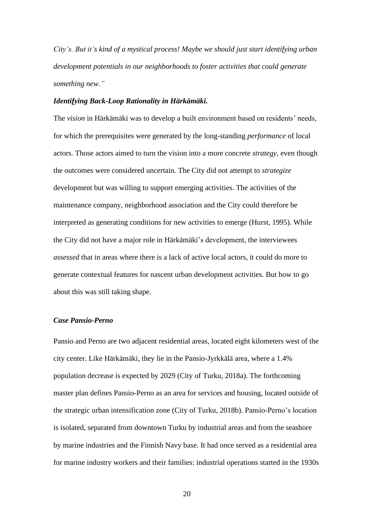*City's. But it's kind of a mystical process! Maybe we should just start identifying urban development potentials in our neighborhoods to foster activities that could generate something new."*

#### *Identifying Back-Loop Rationality in Härkämäki.*

The *vision* in Härkämäki was to develop a built environment based on residents' needs, for which the prerequisites were generated by the long-standing *performance* of local actors. Those actors aimed to turn the vision into a more concrete *strategy*, even though the outcomes were considered uncertain. The City did not attempt to *strategize* development but was willing to support emerging activities. The activities of the maintenance company, neighborhood association and the City could therefore be interpreted as generating conditions for new activities to emerge (Hurst, 1995). While the City did not have a major role in Härkämäki's development, the interviewees *assessed* that in areas where there is a lack of active local actors, it could do more to generate contextual features for nascent urban development activities. But how to go about this was still taking shape.

#### *Case Pansio-Perno*

Pansio and Perno are two adjacent residential areas, located eight kilometers west of the city center. Like Härkämäki, they lie in the Pansio-Jyrkkälä area, where a 1.4% population decrease is expected by 2029 (City of Turku, 2018a). The forthcoming master plan defines Pansio-Perno as an area for services and housing, located outside of the strategic urban intensification zone (City of Turku, 2018b). Pansio-Perno's location is isolated, separated from downtown Turku by industrial areas and from the seashore by marine industries and the Finnish Navy base. It had once served as a residential area for marine industry workers and their families: industrial operations started in the 1930s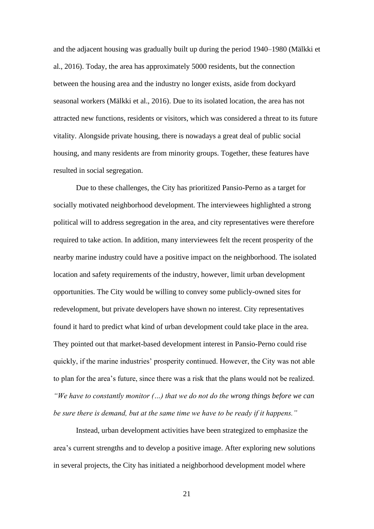and the adjacent housing was gradually built up during the period 1940–1980 (Mälkki et al., 2016). Today, the area has approximately 5000 residents, but the connection between the housing area and the industry no longer exists, aside from dockyard seasonal workers (Mälkki et al., 2016). Due to its isolated location, the area has not attracted new functions, residents or visitors, which was considered a threat to its future vitality. Alongside private housing, there is nowadays a great deal of public social housing, and many residents are from minority groups. Together, these features have resulted in social segregation.

Due to these challenges, the City has prioritized Pansio-Perno as a target for socially motivated neighborhood development. The interviewees highlighted a strong political will to address segregation in the area, and city representatives were therefore required to take action. In addition, many interviewees felt the recent prosperity of the nearby marine industry could have a positive impact on the neighborhood. The isolated location and safety requirements of the industry, however, limit urban development opportunities. The City would be willing to convey some publicly-owned sites for redevelopment, but private developers have shown no interest. City representatives found it hard to predict what kind of urban development could take place in the area. They pointed out that market-based development interest in Pansio-Perno could rise quickly, if the marine industries' prosperity continued. However, the City was not able to plan for the area's future, since there was a risk that the plans would not be realized. *"We have to constantly monitor (…) that we do not do the wrong things before we can be sure there is demand, but at the same time we have to be ready if it happens."*

Instead, urban development activities have been strategized to emphasize the area's current strengths and to develop a positive image. After exploring new solutions in several projects, the City has initiated a neighborhood development model where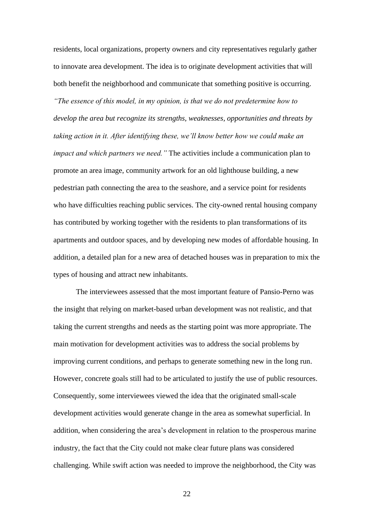residents, local organizations, property owners and city representatives regularly gather to innovate area development. The idea is to originate development activities that will both benefit the neighborhood and communicate that something positive is occurring. *"The essence of this model, in my opinion, is that we do not predetermine how to develop the area but recognize its strengths, weaknesses, opportunities and threats by taking action in it. After identifying these, we'll know better how we could make an impact and which partners we need."* The activities include a communication plan to promote an area image, community artwork for an old lighthouse building, a new pedestrian path connecting the area to the seashore, and a service point for residents who have difficulties reaching public services. The city-owned rental housing company has contributed by working together with the residents to plan transformations of its apartments and outdoor spaces, and by developing new modes of affordable housing. In addition, a detailed plan for a new area of detached houses was in preparation to mix the types of housing and attract new inhabitants.

The interviewees assessed that the most important feature of Pansio-Perno was the insight that relying on market-based urban development was not realistic, and that taking the current strengths and needs as the starting point was more appropriate. The main motivation for development activities was to address the social problems by improving current conditions, and perhaps to generate something new in the long run. However, concrete goals still had to be articulated to justify the use of public resources. Consequently, some interviewees viewed the idea that the originated small-scale development activities would generate change in the area as somewhat superficial. In addition, when considering the area's development in relation to the prosperous marine industry, the fact that the City could not make clear future plans was considered challenging. While swift action was needed to improve the neighborhood, the City was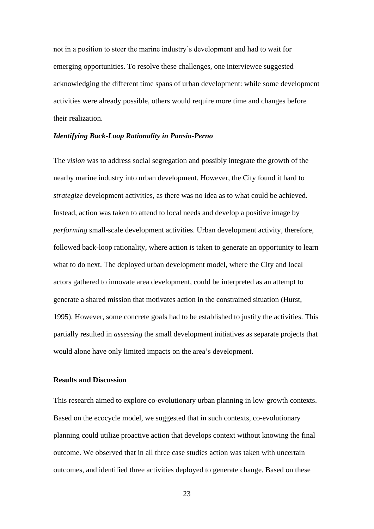not in a position to steer the marine industry's development and had to wait for emerging opportunities. To resolve these challenges, one interviewee suggested acknowledging the different time spans of urban development: while some development activities were already possible, others would require more time and changes before their realization.

# *Identifying Back-Loop Rationality in Pansio-Perno*

The *vision* was to address social segregation and possibly integrate the growth of the nearby marine industry into urban development. However, the City found it hard to *strategize* development activities, as there was no idea as to what could be achieved. Instead, action was taken to attend to local needs and develop a positive image by *performing* small-scale development activities. Urban development activity, therefore, followed back-loop rationality, where action is taken to generate an opportunity to learn what to do next. The deployed urban development model, where the City and local actors gathered to innovate area development, could be interpreted as an attempt to generate a shared mission that motivates action in the constrained situation (Hurst, 1995). However, some concrete goals had to be established to justify the activities. This partially resulted in *assessing* the small development initiatives as separate projects that would alone have only limited impacts on the area's development.

### **Results and Discussion**

This research aimed to explore co-evolutionary urban planning in low-growth contexts. Based on the ecocycle model, we suggested that in such contexts, co-evolutionary planning could utilize proactive action that develops context without knowing the final outcome. We observed that in all three case studies action was taken with uncertain outcomes, and identified three activities deployed to generate change. Based on these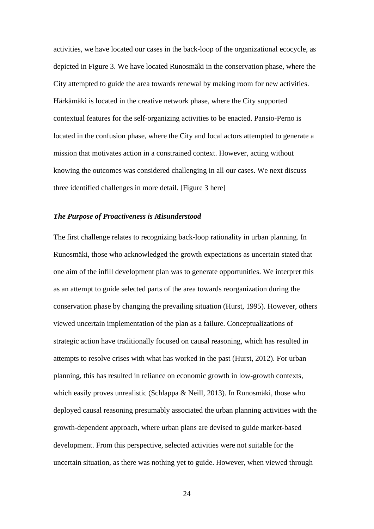activities, we have located our cases in the back-loop of the organizational ecocycle, as depicted in Figure 3. We have located Runosmäki in the conservation phase, where the City attempted to guide the area towards renewal by making room for new activities. Härkämäki is located in the creative network phase, where the City supported contextual features for the self-organizing activities to be enacted. Pansio-Perno is located in the confusion phase, where the City and local actors attempted to generate a mission that motivates action in a constrained context. However, acting without knowing the outcomes was considered challenging in all our cases. We next discuss three identified challenges in more detail. [Figure 3 here]

# *The Purpose of Proactiveness is Misunderstood*

The first challenge relates to recognizing back-loop rationality in urban planning. In Runosmäki, those who acknowledged the growth expectations as uncertain stated that one aim of the infill development plan was to generate opportunities. We interpret this as an attempt to guide selected parts of the area towards reorganization during the conservation phase by changing the prevailing situation (Hurst, 1995). However, others viewed uncertain implementation of the plan as a failure. Conceptualizations of strategic action have traditionally focused on causal reasoning, which has resulted in attempts to resolve crises with what has worked in the past (Hurst, 2012). For urban planning, this has resulted in reliance on economic growth in low-growth contexts, which easily proves unrealistic (Schlappa & Neill, 2013). In Runosmäki, those who deployed causal reasoning presumably associated the urban planning activities with the growth-dependent approach, where urban plans are devised to guide market-based development. From this perspective, selected activities were not suitable for the uncertain situation, as there was nothing yet to guide. However, when viewed through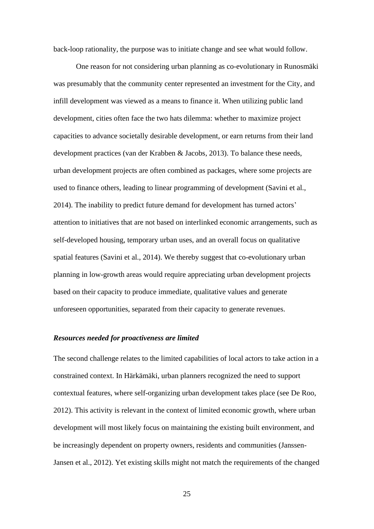back-loop rationality, the purpose was to initiate change and see what would follow.

One reason for not considering urban planning as co-evolutionary in Runosmäki was presumably that the community center represented an investment for the City, and infill development was viewed as a means to finance it. When utilizing public land development, cities often face the two hats dilemma: whether to maximize project capacities to advance societally desirable development, or earn returns from their land development practices (van der Krabben & Jacobs, 2013). To balance these needs, urban development projects are often combined as packages, where some projects are used to finance others, leading to linear programming of development (Savini et al., 2014). The inability to predict future demand for development has turned actors' attention to initiatives that are not based on interlinked economic arrangements, such as self-developed housing, temporary urban uses, and an overall focus on qualitative spatial features (Savini et al., 2014). We thereby suggest that co-evolutionary urban planning in low-growth areas would require appreciating urban development projects based on their capacity to produce immediate, qualitative values and generate unforeseen opportunities, separated from their capacity to generate revenues.

#### *Resources needed for proactiveness are limited*

The second challenge relates to the limited capabilities of local actors to take action in a constrained context. In Härkämäki, urban planners recognized the need to support contextual features, where self-organizing urban development takes place (see De Roo, 2012). This activity is relevant in the context of limited economic growth, where urban development will most likely focus on maintaining the existing built environment, and be increasingly dependent on property owners, residents and communities (Janssen-Jansen et al., 2012). Yet existing skills might not match the requirements of the changed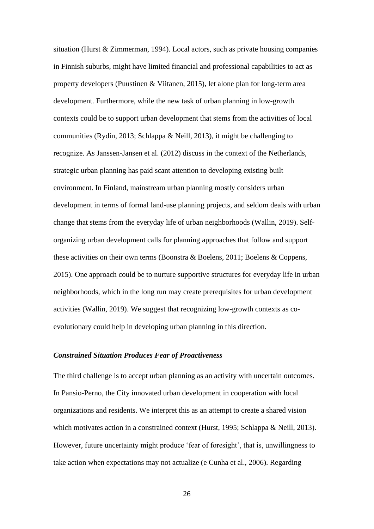situation (Hurst & Zimmerman, 1994). Local actors, such as private housing companies in Finnish suburbs, might have limited financial and professional capabilities to act as property developers (Puustinen & Viitanen, 2015), let alone plan for long-term area development. Furthermore, while the new task of urban planning in low-growth contexts could be to support urban development that stems from the activities of local communities (Rydin, 2013; Schlappa & Neill, 2013), it might be challenging to recognize. As Janssen-Jansen et al. (2012) discuss in the context of the Netherlands, strategic urban planning has paid scant attention to developing existing built environment. In Finland, mainstream urban planning mostly considers urban development in terms of formal land-use planning projects, and seldom deals with urban change that stems from the everyday life of urban neighborhoods (Wallin, 2019). Selforganizing urban development calls for planning approaches that follow and support these activities on their own terms (Boonstra & Boelens, 2011; Boelens & Coppens, 2015). One approach could be to nurture supportive structures for everyday life in urban neighborhoods, which in the long run may create prerequisites for urban development activities (Wallin, 2019). We suggest that recognizing low-growth contexts as coevolutionary could help in developing urban planning in this direction.

# *Constrained Situation Produces Fear of Proactiveness*

The third challenge is to accept urban planning as an activity with uncertain outcomes. In Pansio-Perno, the City innovated urban development in cooperation with local organizations and residents. We interpret this as an attempt to create a shared vision which motivates action in a constrained context (Hurst, 1995; Schlappa & Neill, 2013). However, future uncertainty might produce 'fear of foresight', that is, unwillingness to take action when expectations may not actualize (e Cunha et al., 2006). Regarding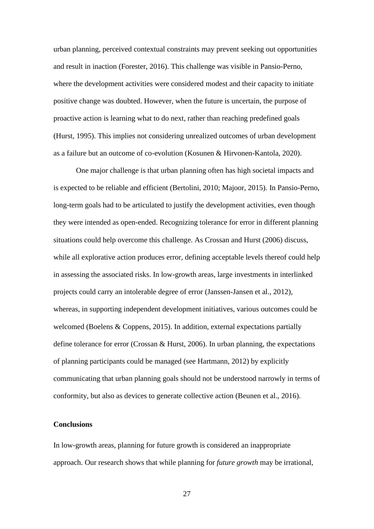urban planning, perceived contextual constraints may prevent seeking out opportunities and result in inaction (Forester, 2016). This challenge was visible in Pansio-Perno, where the development activities were considered modest and their capacity to initiate positive change was doubted. However, when the future is uncertain, the purpose of proactive action is learning what to do next, rather than reaching predefined goals (Hurst, 1995). This implies not considering unrealized outcomes of urban development as a failure but an outcome of co-evolution (Kosunen & Hirvonen-Kantola, 2020).

One major challenge is that urban planning often has high societal impacts and is expected to be reliable and efficient (Bertolini, 2010; Majoor, 2015). In Pansio-Perno, long-term goals had to be articulated to justify the development activities, even though they were intended as open-ended. Recognizing tolerance for error in different planning situations could help overcome this challenge. As Crossan and Hurst (2006) discuss, while all explorative action produces error, defining acceptable levels thereof could help in assessing the associated risks. In low-growth areas, large investments in interlinked projects could carry an intolerable degree of error (Janssen-Jansen et al., 2012), whereas, in supporting independent development initiatives, various outcomes could be welcomed (Boelens & Coppens, 2015). In addition, external expectations partially define tolerance for error (Crossan & Hurst, 2006). In urban planning, the expectations of planning participants could be managed (see Hartmann, 2012) by explicitly communicating that urban planning goals should not be understood narrowly in terms of conformity, but also as devices to generate collective action (Beunen et al., 2016).

# **Conclusions**

In low-growth areas, planning for future growth is considered an inappropriate approach. Our research shows that while planning for *future growth* may be irrational,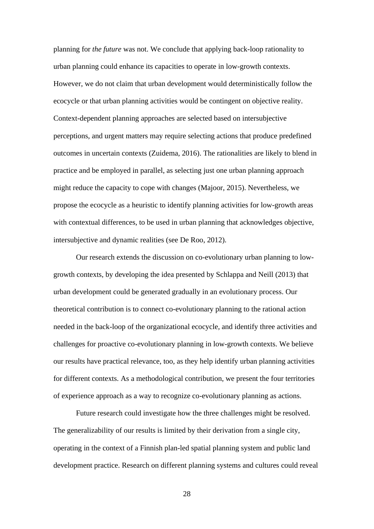planning for *the future* was not. We conclude that applying back-loop rationality to urban planning could enhance its capacities to operate in low-growth contexts. However, we do not claim that urban development would deterministically follow the ecocycle or that urban planning activities would be contingent on objective reality. Context-dependent planning approaches are selected based on intersubjective perceptions, and urgent matters may require selecting actions that produce predefined outcomes in uncertain contexts (Zuidema, 2016). The rationalities are likely to blend in practice and be employed in parallel, as selecting just one urban planning approach might reduce the capacity to cope with changes (Majoor, 2015). Nevertheless, we propose the ecocycle as a heuristic to identify planning activities for low-growth areas with contextual differences, to be used in urban planning that acknowledges objective, intersubjective and dynamic realities (see De Roo, 2012).

Our research extends the discussion on co-evolutionary urban planning to lowgrowth contexts, by developing the idea presented by Schlappa and Neill (2013) that urban development could be generated gradually in an evolutionary process. Our theoretical contribution is to connect co-evolutionary planning to the rational action needed in the back-loop of the organizational ecocycle, and identify three activities and challenges for proactive co-evolutionary planning in low-growth contexts. We believe our results have practical relevance, too, as they help identify urban planning activities for different contexts. As a methodological contribution, we present the four territories of experience approach as a way to recognize co-evolutionary planning as actions.

Future research could investigate how the three challenges might be resolved. The generalizability of our results is limited by their derivation from a single city, operating in the context of a Finnish plan-led spatial planning system and public land development practice. Research on different planning systems and cultures could reveal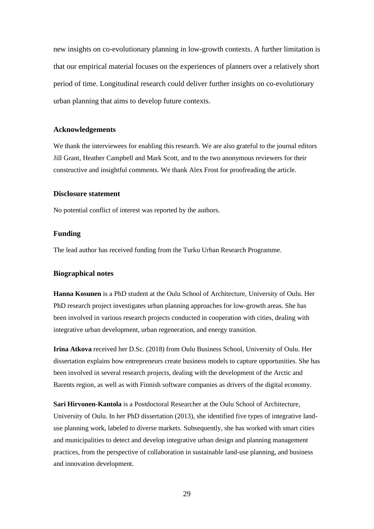new insights on co-evolutionary planning in low-growth contexts. A further limitation is that our empirical material focuses on the experiences of planners over a relatively short period of time. Longitudinal research could deliver further insights on co-evolutionary urban planning that aims to develop future contexts.

#### **Acknowledgements**

We thank the interviewees for enabling this research. We are also grateful to the journal editors Jill Grant, Heather Campbell and Mark Scott, and to the two anonymous reviewers for their constructive and insightful comments. We thank Alex Frost for proofreading the article.

#### **Disclosure statement**

No potential conflict of interest was reported by the authors.

# **Funding**

The lead author has received funding from the Turku Urban Research Programme.

#### **Biographical notes**

**Hanna Kosunen** is a PhD student at the Oulu School of Architecture, University of Oulu. Her PhD research project investigates urban planning approaches for low-growth areas. She has been involved in various research projects conducted in cooperation with cities, dealing with integrative urban development, urban regeneration, and energy transition.

**Irina Atkova** received her D.Sc. (2018) from Oulu Business School, University of Oulu. Her dissertation explains how entrepreneurs create business models to capture opportunities. She has been involved in several research projects, dealing with the development of the Arctic and Barents region, as well as with Finnish software companies as drivers of the digital economy.

**Sari Hirvonen-Kantola** is a Postdoctoral Researcher at the Oulu School of Architecture, University of Oulu. In her PhD dissertation (2013), she identified five types of integrative landuse planning work, labeled to diverse markets. Subsequently, she has worked with smart cities and municipalities to detect and develop integrative urban design and planning management practices, from the perspective of collaboration in sustainable land-use planning, and business and innovation development.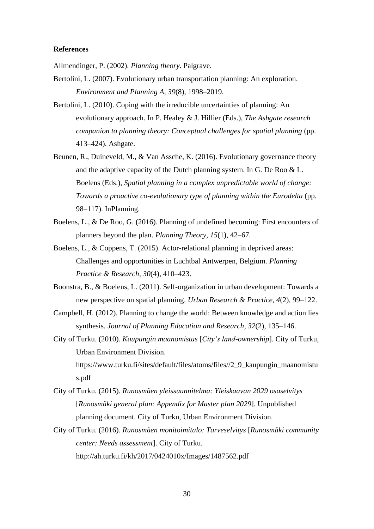# **References**

Allmendinger, P. (2002). *Planning theory*. Palgrave.

- Bertolini, L. (2007). Evolutionary urban transportation planning: An exploration. *Environment and Planning A*, *39*(8), 1998–2019.
- Bertolini, L. (2010). Coping with the irreducible uncertainties of planning: An evolutionary approach. In P. Healey & J. Hillier (Eds.), *The Ashgate research companion to planning theory: Conceptual challenges for spatial planning* (pp. 413–424). Ashgate.
- Beunen, R., Duineveld, M., & Van Assche, K. (2016). Evolutionary governance theory and the adaptive capacity of the Dutch planning system. In G. De Roo & L. Boelens (Eds.), *Spatial planning in a complex unpredictable world of change: Towards a proactive co-evolutionary type of planning within the Eurodelta* (pp. 98–117). InPlanning.
- Boelens, L., & De Roo, G. (2016). Planning of undefined becoming: First encounters of planners beyond the plan. *Planning Theory*, *15*(1), 42–67.
- Boelens, L., & Coppens, T. (2015). Actor-relational planning in deprived areas: Challenges and opportunities in Luchtbal Antwerpen, Belgium. *Planning Practice & Research*, *30*(4), 410–423.
- Boonstra, B., & Boelens, L. (2011). Self-organization in urban development: Towards a new perspective on spatial planning. *Urban Research & Practice*, *4*(2), 99–122.
- Campbell, H. (2012). Planning to change the world: Between knowledge and action lies synthesis. *Journal of Planning Education and Research*, *32*(2), 135–146.
- City of Turku. (2010). *Kaupungin maanomistus* [*City's land-ownership*]*.* City of Turku, Urban Environment Division.

https://www.turku.fi/sites/default/files/atoms/files//2\_9\_kaupungin\_maanomistu s.pdf

- City of Turku. (2015). *Runosmäen yleissuunnitelma: Yleiskaavan 2029 osaselvitys*  [*Runosmäki general plan: Appendix for Master plan 2029*]. Unpublished planning document. City of Turku, Urban Environment Division.
- City of Turku. (2016). *Runosmäen monitoimitalo: Tarveselvitys* [*Runosmäki community center: Needs assessment*]*.* City of Turku. http://ah.turku.fi/kh/2017/0424010x/Images/1487562.pdf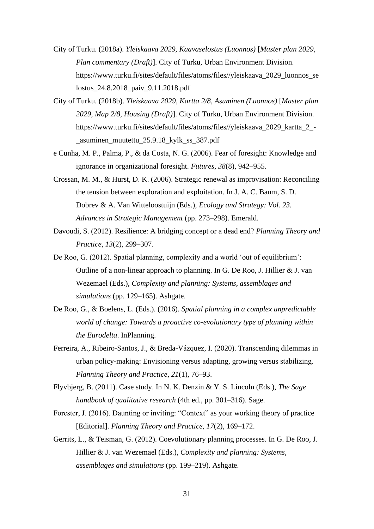- City of Turku. (2018a). *Yleiskaava 2029, Kaavaselostus (Luonnos)* [*Master plan 2029, Plan commentary (Draft)*]. City of Turku, Urban Environment Division. https://www.turku.fi/sites/default/files/atoms/files//yleiskaava\_2029\_luonnos\_se lostus\_24.8.2018\_paiv\_9.11.2018.pdf
- City of Turku. (2018b). *Yleiskaava 2029, Kartta 2/8, Asuminen (Luonnos)* [*Master plan 2029, Map 2/8, Housing (Draft)*]. City of Turku, Urban Environment Division. https://www.turku.fi/sites/default/files/atoms/files//yleiskaava\_2029\_kartta\_2\_- \_asuminen\_muutettu\_25.9.18\_kylk\_ss\_387.pdf
- e Cunha, M. P., Palma, P., & da Costa, N. G. (2006). Fear of foresight: Knowledge and ignorance in organizational foresight. *Futures*, *38*(8), 942–955.
- Crossan, M. M., & Hurst, D. K. (2006). Strategic renewal as improvisation: Reconciling the tension between exploration and exploitation. In J. A. C. Baum, S. D. Dobrev & A. Van Witteloostuijn (Eds.), *Ecology and Strategy: Vol. 23. Advances in Strategic Management* (pp. 273–298). Emerald.
- Davoudi, S. (2012). Resilience: A bridging concept or a dead end? *Planning Theory and Practice*, *13*(2), 299–307.
- De Roo, G. (2012). Spatial planning, complexity and a world 'out of equilibrium': Outline of a non-linear approach to planning. In G. De Roo, J. Hillier & J. van Wezemael (Eds.), *Complexity and planning: Systems, assemblages and simulations* (pp. 129–165). Ashgate.
- De Roo, G., & Boelens, L. (Eds.). (2016). *Spatial planning in a complex unpredictable world of change: Towards a proactive co-evolutionary type of planning within the Eurodelta*. InPlanning.
- Ferreira, A., Ribeiro-Santos, J., & Breda-Vázquez, I. (2020). Transcending dilemmas in urban policy-making: Envisioning versus adapting, growing versus stabilizing. *Planning Theory and Practice*, *21*(1), 76–93.
- Flyvbjerg, B. (2011). Case study. In N. K. Denzin & Y. S. Lincoln (Eds.), *The Sage handbook of qualitative research* (4th ed., pp. 301–316). Sage.
- Forester, J. (2016). Daunting or inviting: "Context" as your working theory of practice [Editorial]. *Planning Theory and Practice*, *17*(2), 169–172.
- Gerrits, L., & Teisman, G. (2012). Coevolutionary planning processes. In G. De Roo, J. Hillier & J. van Wezemael (Eds.), *Complexity and planning: Systems, assemblages and simulations* (pp. 199–219). Ashgate.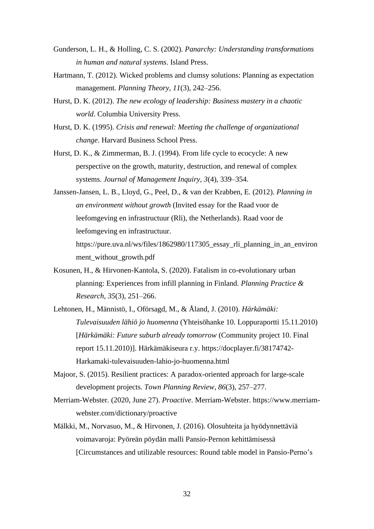- Gunderson, L. H., & Holling, C. S. (2002). *Panarchy: Understanding transformations in human and natural systems*. Island Press.
- Hartmann, T. (2012). Wicked problems and clumsy solutions: Planning as expectation management. *Planning Theory*, *11*(3), 242–256.
- Hurst, D. K. (2012). *The new ecology of leadership: Business mastery in a chaotic world*. Columbia University Press.
- Hurst, D. K. (1995). *Crisis and renewal: Meeting the challenge of organizational change*. Harvard Business School Press.
- Hurst, D. K., & Zimmerman, B. J. (1994). From life cycle to ecocycle: A new perspective on the growth, maturity, destruction, and renewal of complex systems. *Journal of Management Inquiry*, *3*(4), 339–354.
- Janssen-Jansen, L. B., Lloyd, G., Peel, D., & van der Krabben, E. (2012). *Planning in an environment without growth* (Invited essay for the Raad voor de leefomgeving en infrastructuur (Rli), the Netherlands). Raad voor de leefomgeving en infrastructuur. https://pure.uva.nl/ws/files/1862980/117305\_essay\_rli\_planning\_in\_an\_environ ment\_without\_growth.pdf
- Kosunen, H., & Hirvonen-Kantola, S. (2020). Fatalism in co-evolutionary urban planning: Experiences from infill planning in Finland. *Planning Practice & Research*, *35*(3), 251–266.
- Lehtonen, H., Männistö, I., Oförsagd, M., & Åland, J. (2010). *Härkämäki: Tulevaisuuden lähiö jo huomenna* (Yhteisöhanke 10. Loppuraportti 15.11.2010) [*Härkämäki: Future suburb already tomorrow* (Community project 10. Final report 15.11.2010)]. Härkämäkiseura r.y. https://docplayer.fi/38174742- Harkamaki-tulevaisuuden-lahio-jo-huomenna.html
- Majoor, S. (2015). Resilient practices: A paradox-oriented approach for large-scale development projects. *Town Planning Review*, *86*(3), 257–277.
- Merriam-Webster. (2020, June 27). *Proactive*. Merriam-Webster. https://www.merriamwebster.com/dictionary/proactive
- Mälkki, M., Norvasuo, M., & Hirvonen, J. (2016). Olosuhteita ja hyödynnettäviä voimavaroja: Pyöreän pöydän malli Pansio-Pernon kehittämisessä [Circumstances and utilizable resources: Round table model in Pansio-Perno's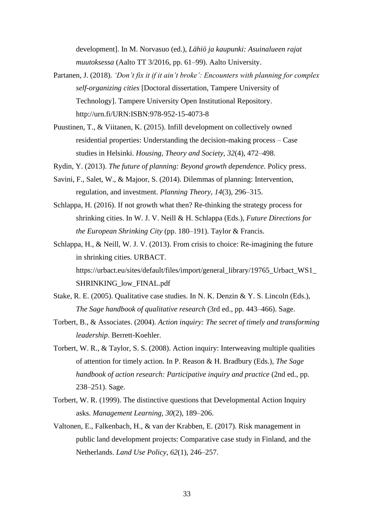development]. In M. Norvasuo (ed.), *Lähiö ja kaupunki: Asuinalueen rajat muutoksessa* (Aalto TT 3/2016, pp. 61–99). Aalto University.

- Partanen, J. (2018). *'Don't fix it if it ain't broke': Encounters with planning for complex self-organizing cities* [Doctoral dissertation, Tampere University of Technology]. Tampere University Open Institutional Repository. http://urn.fi/URN:ISBN:978-952-15-4073-8
- Puustinen, T., & Viitanen, K. (2015). Infill development on collectively owned residential properties: Understanding the decision-making process – Case studies in Helsinki. *Housing, Theory and Society*, *32*(4), 472–498.
- Rydin, Y. (2013). *The future of planning: Beyond growth dependence.* Policy press.
- Savini, F., Salet, W., & Majoor, S. (2014). Dilemmas of planning: Intervention, regulation, and investment. *Planning Theory*, *14*(3), 296–315.
- Schlappa, H. (2016). If not growth what then? Re-thinking the strategy process for shrinking cities. In W. J. V. Neill & H. Schlappa (Eds.), *Future Directions for the European Shrinking City* (pp. 180–191). Taylor & Francis.
- Schlappa, H., & Neill, W. J. V. (2013). From crisis to choice: Re-imagining the future in shrinking cities. URBACT. https://urbact.eu/sites/default/files/import/general\_library/19765\_Urbact\_WS1\_ SHRINKING\_low\_FINAL.pdf
- Stake, R. E. (2005). Qualitative case studies. In N. K. Denzin & Y. S. Lincoln (Eds.), *The Sage handbook of qualitative research* (3rd ed., pp. 443–466). Sage.
- Torbert, B., & Associates. (2004). *Action inquiry: The secret of timely and transforming leadership*. Berrett-Koehler.
- Torbert, W. R., & Taylor, S. S. (2008). Action inquiry: Interweaving multiple qualities of attention for timely action. In P. Reason & H. Bradbury (Eds.), *The Sage handbook of action research: Participative inquiry and practice* (2nd ed., pp. 238–251). Sage.
- Torbert, W. R. (1999). The distinctive questions that Developmental Action Inquiry asks. *Management Learning*, *30*(2), 189–206.
- Valtonen, E., Falkenbach, H., & van der Krabben, E. (2017). Risk management in public land development projects: Comparative case study in Finland, and the Netherlands. *Land Use Policy*, *62*(1), 246–257.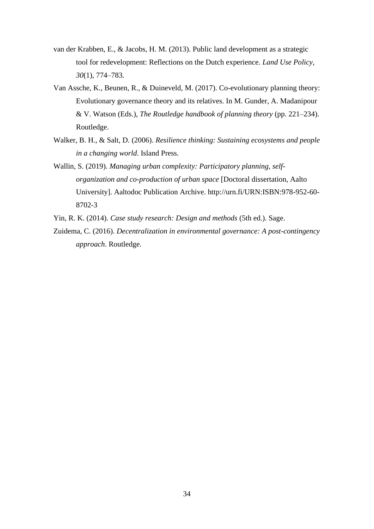- van der Krabben, E., & Jacobs, H. M. (2013). Public land development as a strategic tool for redevelopment: Reflections on the Dutch experience. *Land Use Policy*, *30*(1), 774–783.
- Van Assche, K., Beunen, R., & Duineveld, M. (2017). Co-evolutionary planning theory: Evolutionary governance theory and its relatives. In M. Gunder, A. Madanipour & V. Watson (Eds.), *The Routledge handbook of planning theory* (pp. 221–234). Routledge.
- Walker, B. H., & Salt, D. (2006). *Resilience thinking: Sustaining ecosystems and people in a changing world*. Island Press.
- Wallin, S. (2019). *Managing urban complexity: Participatory planning, selforganization and co-production of urban space* [Doctoral dissertation, Aalto University]. Aaltodoc Publication Archive. http://urn.fi/URN:ISBN:978-952-60- 8702-3
- Yin, R. K. (2014). *Case study research: Design and methods* (5th ed.). Sage.
- Zuidema, C. (2016). *Decentralization in environmental governance: A post-contingency approach*. Routledge.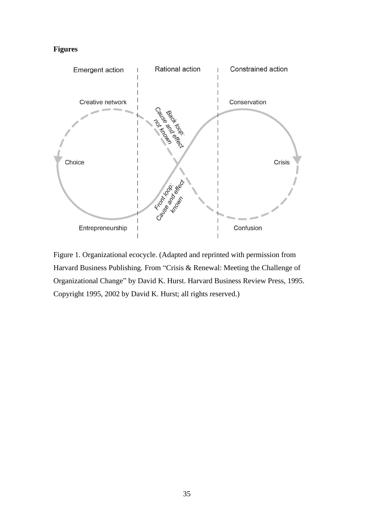# **Figures**



Figure 1. Organizational ecocycle. (Adapted and reprinted with permission from Harvard Business Publishing. From "Crisis & Renewal: Meeting the Challenge of Organizational Change" by David K. Hurst. Harvard Business Review Press, 1995. Copyright 1995, 2002 by David K. Hurst; all rights reserved.)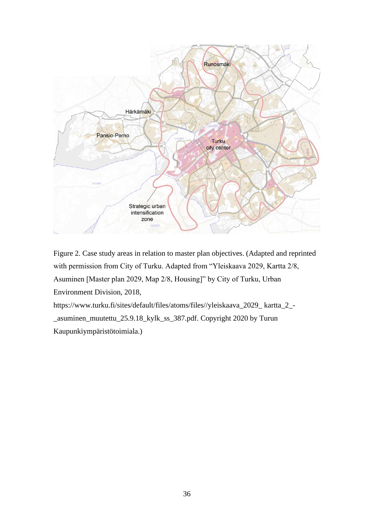

Figure 2. Case study areas in relation to master plan objectives. (Adapted and reprinted with permission from City of Turku. Adapted from "Yleiskaava 2029, Kartta 2/8, Asuminen [Master plan 2029, Map 2/8, Housing]" by City of Turku, Urban Environment Division, 2018, https://www.turku.fi/sites/default/files/atoms/files//yleiskaava\_2029\_ kartta\_2\_- \_asuminen\_muutettu\_25.9.18\_kylk\_ss\_387.pdf. Copyright 2020 by Turun

Kaupunkiympäristötoimiala.)